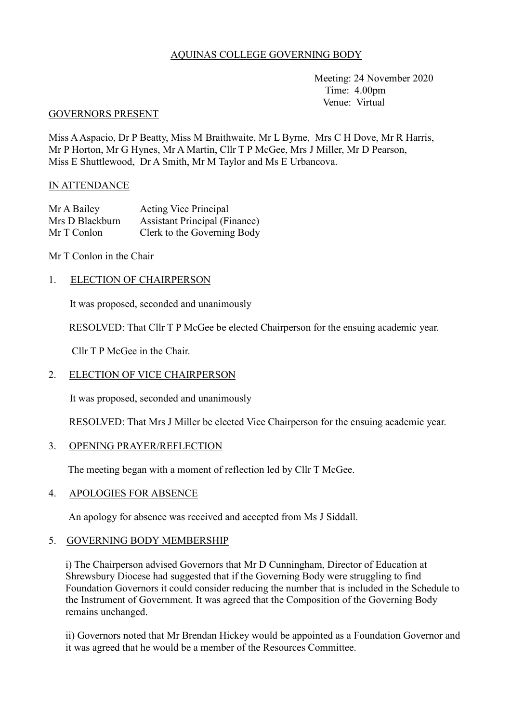## AQUINAS COLLEGE GOVERNING BODY

 Meeting: 24 November 2020 Time: 4.00pm Venue: Virtual

#### GOVERNORS PRESENT

Miss A Aspacio, Dr P Beatty, Miss M Braithwaite, Mr L Byrne, Mrs C H Dove, Mr R Harris, Mr P Horton, Mr G Hynes, Mr A Martin, Cllr T P McGee, Mrs J Miller, Mr D Pearson, Miss E Shuttlewood, Dr A Smith, Mr M Taylor and Ms E Urbancova.

#### IN ATTENDANCE

| Mr A Bailey     | <b>Acting Vice Principal</b>         |
|-----------------|--------------------------------------|
| Mrs D Blackburn | <b>Assistant Principal (Finance)</b> |
| Mr T Conlon     | Clerk to the Governing Body          |

Mr T Conlon in the Chair

## 1. ELECTION OF CHAIRPERSON

It was proposed, seconded and unanimously

RESOLVED: That Cllr T P McGee be elected Chairperson for the ensuing academic year.

Cllr T P McGee in the Chair.

# 2. ELECTION OF VICE CHAIRPERSON

It was proposed, seconded and unanimously

RESOLVED: That Mrs J Miller be elected Vice Chairperson for the ensuing academic year.

#### 3. OPENING PRAYER/REFLECTION

The meeting began with a moment of reflection led by Cllr T McGee.

#### 4. APOLOGIES FOR ABSENCE

An apology for absence was received and accepted from Ms J Siddall.

#### 5. GOVERNING BODY MEMBERSHIP

i) The Chairperson advised Governors that Mr D Cunningham, Director of Education at Shrewsbury Diocese had suggested that if the Governing Body were struggling to find Foundation Governors it could consider reducing the number that is included in the Schedule to the Instrument of Government. It was agreed that the Composition of the Governing Body remains unchanged.

ii) Governors noted that Mr Brendan Hickey would be appointed as a Foundation Governor and it was agreed that he would be a member of the Resources Committee.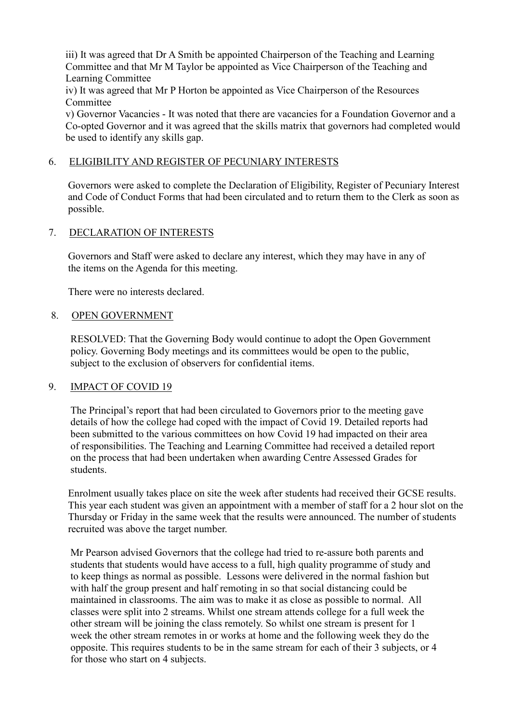iii) It was agreed that Dr A Smith be appointed Chairperson of the Teaching and Learning Committee and that Mr M Taylor be appointed as Vice Chairperson of the Teaching and Learning Committee

iv) It was agreed that Mr P Horton be appointed as Vice Chairperson of the Resources Committee

v) Governor Vacancies - It was noted that there are vacancies for a Foundation Governor and a Co-opted Governor and it was agreed that the skills matrix that governors had completed would be used to identify any skills gap.

### 6. ELIGIBILITY AND REGISTER OF PECUNIARY INTERESTS

Governors were asked to complete the Declaration of Eligibility, Register of Pecuniary Interest and Code of Conduct Forms that had been circulated and to return them to the Clerk as soon as possible.

#### 7. DECLARATION OF INTERESTS

Governors and Staff were asked to declare any interest, which they may have in any of the items on the Agenda for this meeting.

There were no interests declared.

#### 8. OPEN GOVERNMENT

RESOLVED: That the Governing Body would continue to adopt the Open Government policy. Governing Body meetings and its committees would be open to the public, subject to the exclusion of observers for confidential items.

#### 9. IMPACT OF COVID 19

 The Principal's report that had been circulated to Governors prior to the meeting gave details of how the college had coped with the impact of Covid 19. Detailed reports had been submitted to the various committees on how Covid 19 had impacted on their area of responsibilities. The Teaching and Learning Committee had received a detailed report on the process that had been undertaken when awarding Centre Assessed Grades for students.

Enrolment usually takes place on site the week after students had received their GCSE results. This year each student was given an appointment with a member of staff for a 2 hour slot on the Thursday or Friday in the same week that the results were announced. The number of students recruited was above the target number.

Mr Pearson advised Governors that the college had tried to re-assure both parents and students that students would have access to a full, high quality programme of study and to keep things as normal as possible. Lessons were delivered in the normal fashion but with half the group present and half remoting in so that social distancing could be maintained in classrooms. The aim was to make it as close as possible to normal. All classes were split into 2 streams. Whilst one stream attends college for a full week the other stream will be joining the class remotely. So whilst one stream is present for 1 week the other stream remotes in or works at home and the following week they do the opposite. This requires students to be in the same stream for each of their 3 subjects, or 4 for those who start on 4 subjects.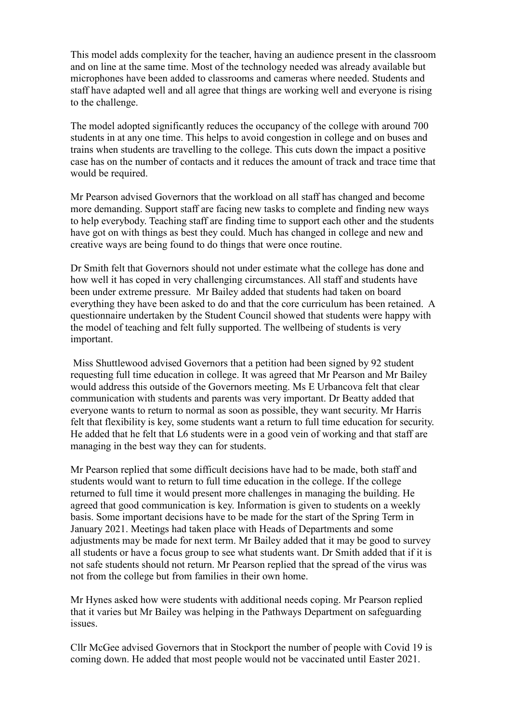This model adds complexity for the teacher, having an audience present in the classroom and on line at the same time. Most of the technology needed was already available but microphones have been added to classrooms and cameras where needed. Students and staff have adapted well and all agree that things are working well and everyone is rising to the challenge.

 The model adopted significantly reduces the occupancy of the college with around 700 students in at any one time. This helps to avoid congestion in college and on buses and trains when students are travelling to the college. This cuts down the impact a positive case has on the number of contacts and it reduces the amount of track and trace time that would be required.

 Mr Pearson advised Governors that the workload on all staff has changed and become more demanding. Support staff are facing new tasks to complete and finding new ways to help everybody. Teaching staff are finding time to support each other and the students have got on with things as best they could. Much has changed in college and new and creative ways are being found to do things that were once routine.

 Dr Smith felt that Governors should not under estimate what the college has done and how well it has coped in very challenging circumstances. All staff and students have been under extreme pressure. Mr Bailey added that students had taken on board everything they have been asked to do and that the core curriculum has been retained. A questionnaire undertaken by the Student Council showed that students were happy with the model of teaching and felt fully supported. The wellbeing of students is very important.

 Miss Shuttlewood advised Governors that a petition had been signed by 92 student requesting full time education in college. It was agreed that Mr Pearson and Mr Bailey would address this outside of the Governors meeting. Ms E Urbancova felt that clear communication with students and parents was very important. Dr Beatty added that everyone wants to return to normal as soon as possible, they want security. Mr Harris felt that flexibility is key, some students want a return to full time education for security. He added that he felt that L6 students were in a good vein of working and that staff are managing in the best way they can for students.

 Mr Pearson replied that some difficult decisions have had to be made, both staff and students would want to return to full time education in the college. If the college returned to full time it would present more challenges in managing the building. He agreed that good communication is key. Information is given to students on a weekly basis. Some important decisions have to be made for the start of the Spring Term in January 2021. Meetings had taken place with Heads of Departments and some adjustments may be made for next term. Mr Bailey added that it may be good to survey all students or have a focus group to see what students want. Dr Smith added that if it is not safe students should not return. Mr Pearson replied that the spread of the virus was not from the college but from families in their own home.

Mr Hynes asked how were students with additional needs coping. Mr Pearson replied that it varies but Mr Bailey was helping in the Pathways Department on safeguarding issues.

Cllr McGee advised Governors that in Stockport the number of people with Covid 19 is coming down. He added that most people would not be vaccinated until Easter 2021.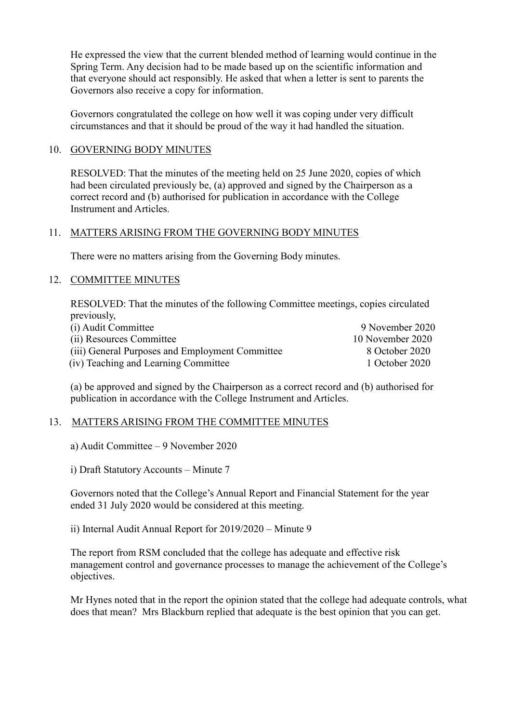He expressed the view that the current blended method of learning would continue in the Spring Term. Any decision had to be made based up on the scientific information and that everyone should act responsibly. He asked that when a letter is sent to parents the Governors also receive a copy for information.

 Governors congratulated the college on how well it was coping under very difficult circumstances and that it should be proud of the way it had handled the situation.

### 10. GOVERNING BODY MINUTES

RESOLVED: That the minutes of the meeting held on 25 June 2020, copies of which had been circulated previously be, (a) approved and signed by the Chairperson as a correct record and (b) authorised for publication in accordance with the College Instrument and Articles.

### 11. MATTERS ARISING FROM THE GOVERNING BODY MINUTES

There were no matters arising from the Governing Body minutes.

## 12. COMMITTEE MINUTES

RESOLVED: That the minutes of the following Committee meetings, copies circulated previously,

| (i) Audit Committee                             | 9 November 2020  |
|-------------------------------------------------|------------------|
| (ii) Resources Committee                        | 10 November 2020 |
| (iii) General Purposes and Employment Committee | 8 October 2020   |
| (iv) Teaching and Learning Committee            | 1 October 2020   |

(a) be approved and signed by the Chairperson as a correct record and (b) authorised for publication in accordance with the College Instrument and Articles.

#### 13. MATTERS ARISING FROM THE COMMITTEE MINUTES

a) Audit Committee – 9 November 2020

i) Draft Statutory Accounts – Minute 7

Governors noted that the College's Annual Report and Financial Statement for the year ended 31 July 2020 would be considered at this meeting.

ii) Internal Audit Annual Report for 2019/2020 – Minute 9

The report from RSM concluded that the college has adequate and effective risk management control and governance processes to manage the achievement of the College's objectives.

Mr Hynes noted that in the report the opinion stated that the college had adequate controls, what does that mean? Mrs Blackburn replied that adequate is the best opinion that you can get.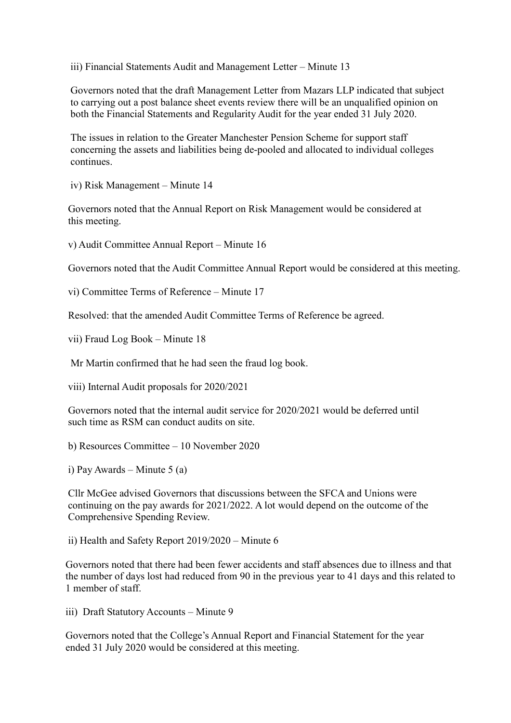iii) Financial Statements Audit and Management Letter – Minute 13

Governors noted that the draft Management Letter from Mazars LLP indicated that subject to carrying out a post balance sheet events review there will be an unqualified opinion on both the Financial Statements and Regularity Audit for the year ended 31 July 2020.

The issues in relation to the Greater Manchester Pension Scheme for support staff concerning the assets and liabilities being de-pooled and allocated to individual colleges continues.

iv) Risk Management – Minute 14

Governors noted that the Annual Report on Risk Management would be considered at this meeting.

v) Audit Committee Annual Report – Minute 16

Governors noted that the Audit Committee Annual Report would be considered at this meeting.

vi) Committee Terms of Reference – Minute 17

Resolved: that the amended Audit Committee Terms of Reference be agreed.

vii) Fraud Log Book – Minute 18

Mr Martin confirmed that he had seen the fraud log book.

viii) Internal Audit proposals for 2020/2021

Governors noted that the internal audit service for 2020/2021 would be deferred until such time as RSM can conduct audits on site.

b) Resources Committee – 10 November 2020

i) Pay Awards – Minute 5 (a)

Cllr McGee advised Governors that discussions between the SFCA and Unions were continuing on the pay awards for 2021/2022. A lot would depend on the outcome of the Comprehensive Spending Review.

ii) Health and Safety Report 2019/2020 – Minute 6

Governors noted that there had been fewer accidents and staff absences due to illness and that the number of days lost had reduced from 90 in the previous year to 41 days and this related to 1 member of staff.

iii) Draft Statutory Accounts – Minute 9

Governors noted that the College's Annual Report and Financial Statement for the year ended 31 July 2020 would be considered at this meeting.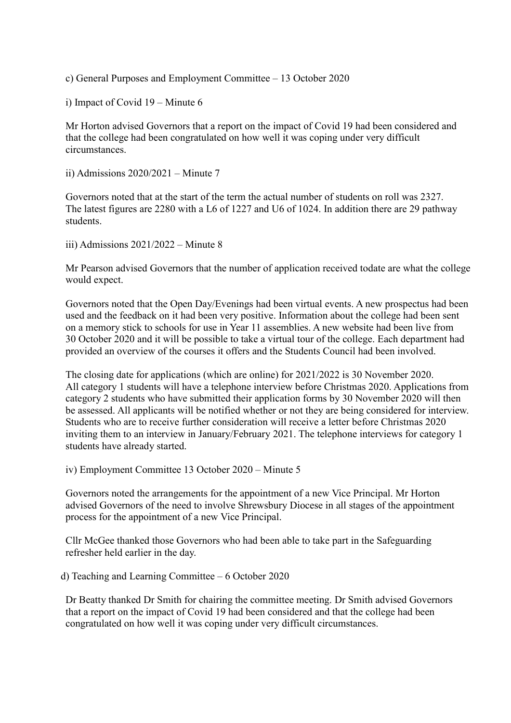c) General Purposes and Employment Committee – 13 October 2020

i) Impact of Covid 19 – Minute 6

Mr Horton advised Governors that a report on the impact of Covid 19 had been considered and that the college had been congratulated on how well it was coping under very difficult circumstances.

ii) Admissions 2020/2021 – Minute 7

Governors noted that at the start of the term the actual number of students on roll was 2327. The latest figures are 2280 with a L6 of 1227 and U6 of 1024. In addition there are 29 pathway students.

iii) Admissions 2021/2022 – Minute 8

Mr Pearson advised Governors that the number of application received todate are what the college would expect.

Governors noted that the Open Day/Evenings had been virtual events. A new prospectus had been used and the feedback on it had been very positive. Information about the college had been sent on a memory stick to schools for use in Year 11 assemblies. A new website had been live from 30 October 2020 and it will be possible to take a virtual tour of the college. Each department had provided an overview of the courses it offers and the Students Council had been involved.

The closing date for applications (which are online) for 2021/2022 is 30 November 2020. All category 1 students will have a telephone interview before Christmas 2020. Applications from category 2 students who have submitted their application forms by 30 November 2020 will then be assessed. All applicants will be notified whether or not they are being considered for interview. Students who are to receive further consideration will receive a letter before Christmas 2020 inviting them to an interview in January/February 2021. The telephone interviews for category 1 students have already started.

iv) Employment Committee 13 October 2020 – Minute 5

Governors noted the arrangements for the appointment of a new Vice Principal. Mr Horton advised Governors of the need to involve Shrewsbury Diocese in all stages of the appointment process for the appointment of a new Vice Principal.

Cllr McGee thanked those Governors who had been able to take part in the Safeguarding refresher held earlier in the day.

d) Teaching and Learning Committee – 6 October 2020

Dr Beatty thanked Dr Smith for chairing the committee meeting. Dr Smith advised Governors that a report on the impact of Covid 19 had been considered and that the college had been congratulated on how well it was coping under very difficult circumstances.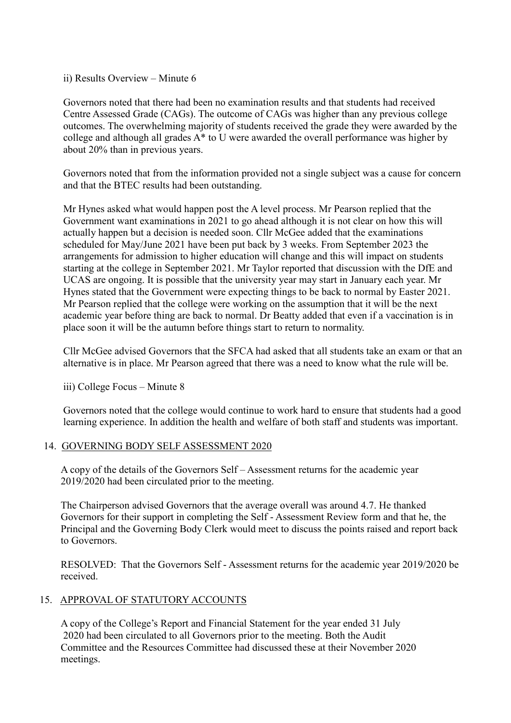ii) Results Overview – Minute 6

Governors noted that there had been no examination results and that students had received Centre Assessed Grade (CAGs). The outcome of CAGs was higher than any previous college outcomes. The overwhelming majority of students received the grade they were awarded by the college and although all grades A\* to U were awarded the overall performance was higher by about 20% than in previous years.

Governors noted that from the information provided not a single subject was a cause for concern and that the BTEC results had been outstanding.

Mr Hynes asked what would happen post the A level process. Mr Pearson replied that the Government want examinations in 2021 to go ahead although it is not clear on how this will actually happen but a decision is needed soon. Cllr McGee added that the examinations scheduled for May/June 2021 have been put back by 3 weeks. From September 2023 the arrangements for admission to higher education will change and this will impact on students starting at the college in September 2021. Mr Taylor reported that discussion with the DfE and UCAS are ongoing. It is possible that the university year may start in January each year. Mr Hynes stated that the Government were expecting things to be back to normal by Easter 2021. Mr Pearson replied that the college were working on the assumption that it will be the next academic year before thing are back to normal. Dr Beatty added that even if a vaccination is in place soon it will be the autumn before things start to return to normality.

Cllr McGee advised Governors that the SFCA had asked that all students take an exam or that an alternative is in place. Mr Pearson agreed that there was a need to know what the rule will be.

iii) College Focus – Minute 8

Governors noted that the college would continue to work hard to ensure that students had a good learning experience. In addition the health and welfare of both staff and students was important.

#### 14. GOVERNING BODY SELF ASSESSMENT 2020

A copy of the details of the Governors Self – Assessment returns for the academic year 2019/2020 had been circulated prior to the meeting.

The Chairperson advised Governors that the average overall was around 4.7. He thanked Governors for their support in completing the Self - Assessment Review form and that he, the Principal and the Governing Body Clerk would meet to discuss the points raised and report back to Governors.

RESOLVED: That the Governors Self - Assessment returns for the academic year 2019/2020 be received.

## 15. APPROVAL OF STATUTORY ACCOUNTS

A copy of the College's Report and Financial Statement for the year ended 31 July 2020 had been circulated to all Governors prior to the meeting. Both the Audit Committee and the Resources Committee had discussed these at their November 2020 meetings.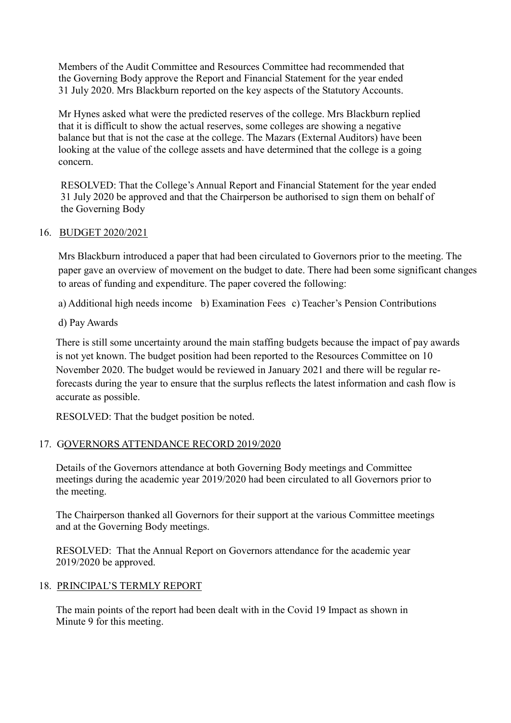Members of the Audit Committee and Resources Committee had recommended that the Governing Body approve the Report and Financial Statement for the year ended 31 July 2020. Mrs Blackburn reported on the key aspects of the Statutory Accounts.

Mr Hynes asked what were the predicted reserves of the college. Mrs Blackburn replied that it is difficult to show the actual reserves, some colleges are showing a negative balance but that is not the case at the college. The Mazars (External Auditors) have been looking at the value of the college assets and have determined that the college is a going concern.

RESOLVED: That the College's Annual Report and Financial Statement for the year ended 31 July 2020 be approved and that the Chairperson be authorised to sign them on behalf of the Governing Body

## 16. BUDGET 2020/2021

Mrs Blackburn introduced a paper that had been circulated to Governors prior to the meeting. The paper gave an overview of movement on the budget to date. There had been some significant changes to areas of funding and expenditure. The paper covered the following:

a) Additional high needs income b) Examination Fees c) Teacher's Pension Contributions

d) Pay Awards

There is still some uncertainty around the main staffing budgets because the impact of pay awards is not yet known. The budget position had been reported to the Resources Committee on 10 November 2020. The budget would be reviewed in January 2021 and there will be regular reforecasts during the year to ensure that the surplus reflects the latest information and cash flow is accurate as possible.

RESOLVED: That the budget position be noted.

## 17. GOVERNORS ATTENDANCE RECORD 2019/2020

Details of the Governors attendance at both Governing Body meetings and Committee meetings during the academic year 2019/2020 had been circulated to all Governors prior to the meeting.

The Chairperson thanked all Governors for their support at the various Committee meetings and at the Governing Body meetings.

RESOLVED: That the Annual Report on Governors attendance for the academic year 2019/2020 be approved.

#### 18. PRINCIPAL'S TERMLY REPORT

The main points of the report had been dealt with in the Covid 19 Impact as shown in Minute 9 for this meeting.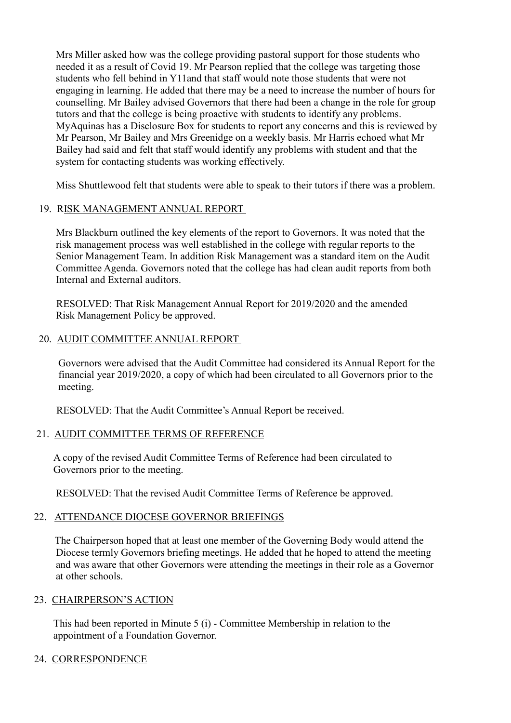Mrs Miller asked how was the college providing pastoral support for those students who needed it as a result of Covid 19. Mr Pearson replied that the college was targeting those students who fell behind in Y11and that staff would note those students that were not engaging in learning. He added that there may be a need to increase the number of hours for counselling. Mr Bailey advised Governors that there had been a change in the role for group tutors and that the college is being proactive with students to identify any problems. MyAquinas has a Disclosure Box for students to report any concerns and this is reviewed by Mr Pearson, Mr Bailey and Mrs Greenidge on a weekly basis. Mr Harris echoed what Mr Bailey had said and felt that staff would identify any problems with student and that the system for contacting students was working effectively.

Miss Shuttlewood felt that students were able to speak to their tutors if there was a problem.

## 19. RISK MANAGEMENT ANNUAL REPORT

Mrs Blackburn outlined the key elements of the report to Governors. It was noted that the risk management process was well established in the college with regular reports to the Senior Management Team. In addition Risk Management was a standard item on the Audit Committee Agenda. Governors noted that the college has had clean audit reports from both Internal and External auditors.

 RESOLVED: That Risk Management Annual Report for 2019/2020 and the amended Risk Management Policy be approved.

## 20. AUDIT COMMITTEE ANNUAL REPORT

Governors were advised that the Audit Committee had considered its Annual Report for the financial year 2019/2020, a copy of which had been circulated to all Governors prior to the meeting.

RESOLVED: That the Audit Committee's Annual Report be received.

## 21. AUDIT COMMITTEE TERMS OF REFERENCE

A copy of the revised Audit Committee Terms of Reference had been circulated to Governors prior to the meeting.

RESOLVED: That the revised Audit Committee Terms of Reference be approved.

## 22. ATTENDANCE DIOCESE GOVERNOR BRIEFINGS

 The Chairperson hoped that at least one member of the Governing Body would attend the Diocese termly Governors briefing meetings. He added that he hoped to attend the meeting and was aware that other Governors were attending the meetings in their role as a Governor at other schools.

#### 23. CHAIRPERSON'S ACTION

This had been reported in Minute 5 (i) - Committee Membership in relation to the appointment of a Foundation Governor.

#### 24. CORRESPONDENCE